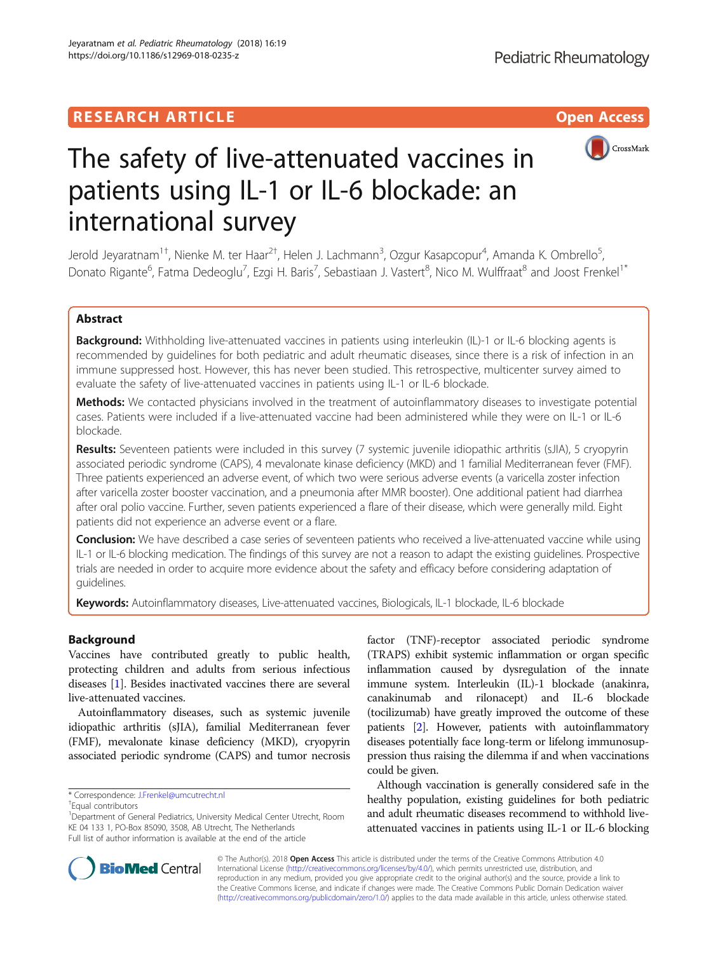## **RESEARCH ARTICLE Example 2018 12:30 THE Open Access**



# The safety of live-attenuated vaccines in patients using IL-1 or IL-6 blockade: an international survey

Jerold Jeyaratnam<sup>1†</sup>, Nienke M. ter Haar<sup>2†</sup>, Helen J. Lachmann<sup>3</sup>, Ozgur Kasapcopur<sup>4</sup>, Amanda K. Ombrello<sup>5</sup> , Donato Rigante<sup>6</sup>, Fatma Dedeoglu<sup>7</sup>, Ezgi H. Baris<sup>7</sup>, Sebastiaan J. Vastert<sup>8</sup>, Nico M. Wulffraat<sup>8</sup> and Joost Frenkel<sup>1\*</sup>

## Abstract

Background: Withholding live-attenuated vaccines in patients using interleukin (IL)-1 or IL-6 blocking agents is recommended by guidelines for both pediatric and adult rheumatic diseases, since there is a risk of infection in an immune suppressed host. However, this has never been studied. This retrospective, multicenter survey aimed to evaluate the safety of live-attenuated vaccines in patients using IL-1 or IL-6 blockade.

Methods: We contacted physicians involved in the treatment of autoinflammatory diseases to investigate potential cases. Patients were included if a live-attenuated vaccine had been administered while they were on IL-1 or IL-6 blockade.

Results: Seventeen patients were included in this survey (7 systemic juvenile idiopathic arthritis (sJIA), 5 cryopyrin associated periodic syndrome (CAPS), 4 mevalonate kinase deficiency (MKD) and 1 familial Mediterranean fever (FMF). Three patients experienced an adverse event, of which two were serious adverse events (a varicella zoster infection after varicella zoster booster vaccination, and a pneumonia after MMR booster). One additional patient had diarrhea after oral polio vaccine. Further, seven patients experienced a flare of their disease, which were generally mild. Eight patients did not experience an adverse event or a flare.

**Conclusion:** We have described a case series of seventeen patients who received a live-attenuated vaccine while using IL-1 or IL-6 blocking medication. The findings of this survey are not a reason to adapt the existing guidelines. Prospective trials are needed in order to acquire more evidence about the safety and efficacy before considering adaptation of guidelines.

Keywords: Autoinflammatory diseases, Live-attenuated vaccines, Biologicals, IL-1 blockade, IL-6 blockade

## Background

Vaccines have contributed greatly to public health, protecting children and adults from serious infectious diseases [[1\]](#page-4-0). Besides inactivated vaccines there are several live-attenuated vaccines.

Autoinflammatory diseases, such as systemic juvenile idiopathic arthritis (sJIA), familial Mediterranean fever (FMF), mevalonate kinase deficiency (MKD), cryopyrin associated periodic syndrome (CAPS) and tumor necrosis

Equal contributors

factor (TNF)-receptor associated periodic syndrome (TRAPS) exhibit systemic inflammation or organ specific inflammation caused by dysregulation of the innate immune system. Interleukin (IL)-1 blockade (anakinra, canakinumab and rilonacept) and IL-6 blockade (tocilizumab) have greatly improved the outcome of these patients [[2](#page-4-0)]. However, patients with autoinflammatory diseases potentially face long-term or lifelong immunosuppression thus raising the dilemma if and when vaccinations could be given.

Although vaccination is generally considered safe in the healthy population, existing guidelines for both pediatric and adult rheumatic diseases recommend to withhold liveattenuated vaccines in patients using IL-1 or IL-6 blocking



© The Author(s). 2018 Open Access This article is distributed under the terms of the Creative Commons Attribution 4.0 International License [\(http://creativecommons.org/licenses/by/4.0/](http://creativecommons.org/licenses/by/4.0/)), which permits unrestricted use, distribution, and reproduction in any medium, provided you give appropriate credit to the original author(s) and the source, provide a link to the Creative Commons license, and indicate if changes were made. The Creative Commons Public Domain Dedication waiver [\(http://creativecommons.org/publicdomain/zero/1.0/](http://creativecommons.org/publicdomain/zero/1.0/)) applies to the data made available in this article, unless otherwise stated.

<sup>\*</sup> Correspondence: [J.Frenkel@umcutrecht.nl](mailto:J.Frenkel@umcutrecht.nl) †

<sup>&</sup>lt;sup>1</sup>Department of General Pediatrics, University Medical Center Utrecht, Room KE 04 133 1, PO-Box 85090, 3508, AB Utrecht, The Netherlands Full list of author information is available at the end of the article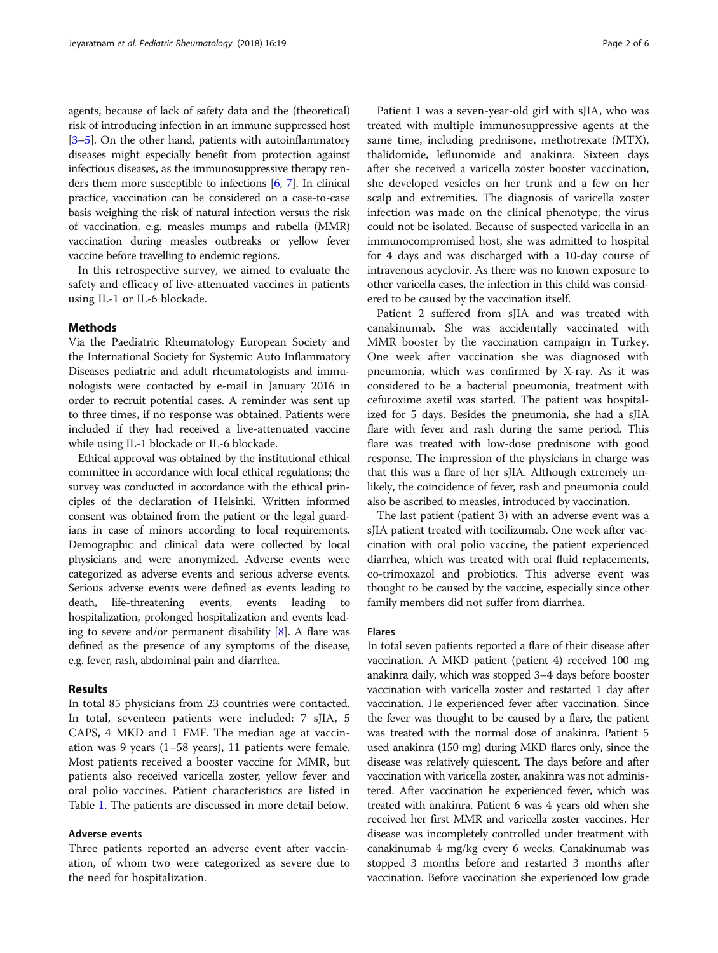agents, because of lack of safety data and the (theoretical) risk of introducing infection in an immune suppressed host [[3](#page-4-0)–[5](#page-4-0)]. On the other hand, patients with autoinflammatory diseases might especially benefit from protection against infectious diseases, as the immunosuppressive therapy renders them more susceptible to infections [\[6](#page-4-0), [7](#page-4-0)]. In clinical practice, vaccination can be considered on a case-to-case basis weighing the risk of natural infection versus the risk of vaccination, e.g. measles mumps and rubella (MMR) vaccination during measles outbreaks or yellow fever vaccine before travelling to endemic regions.

In this retrospective survey, we aimed to evaluate the safety and efficacy of live-attenuated vaccines in patients using IL-1 or IL-6 blockade.

## Methods

Via the Paediatric Rheumatology European Society and the International Society for Systemic Auto Inflammatory Diseases pediatric and adult rheumatologists and immunologists were contacted by e-mail in January 2016 in order to recruit potential cases. A reminder was sent up to three times, if no response was obtained. Patients were included if they had received a live-attenuated vaccine while using IL-1 blockade or IL-6 blockade.

Ethical approval was obtained by the institutional ethical committee in accordance with local ethical regulations; the survey was conducted in accordance with the ethical principles of the declaration of Helsinki. Written informed consent was obtained from the patient or the legal guardians in case of minors according to local requirements. Demographic and clinical data were collected by local physicians and were anonymized. Adverse events were categorized as adverse events and serious adverse events. Serious adverse events were defined as events leading to death, life-threatening events, events leading to hospitalization, prolonged hospitalization and events leading to severe and/or permanent disability  $[8]$  $[8]$ . A flare was defined as the presence of any symptoms of the disease, e.g. fever, rash, abdominal pain and diarrhea.

## Results

In total 85 physicians from 23 countries were contacted. In total, seventeen patients were included: 7 sJIA, 5 CAPS, 4 MKD and 1 FMF. The median age at vaccination was 9 years (1–58 years), 11 patients were female. Most patients received a booster vaccine for MMR, but patients also received varicella zoster, yellow fever and oral polio vaccines. Patient characteristics are listed in Table [1.](#page-2-0) The patients are discussed in more detail below.

## Adverse events

Three patients reported an adverse event after vaccination, of whom two were categorized as severe due to the need for hospitalization.

Patient 1 was a seven-year-old girl with sJIA, who was treated with multiple immunosuppressive agents at the same time, including prednisone, methotrexate (MTX), thalidomide, leflunomide and anakinra. Sixteen days after she received a varicella zoster booster vaccination, she developed vesicles on her trunk and a few on her scalp and extremities. The diagnosis of varicella zoster infection was made on the clinical phenotype; the virus could not be isolated. Because of suspected varicella in an immunocompromised host, she was admitted to hospital for 4 days and was discharged with a 10-day course of intravenous acyclovir. As there was no known exposure to other varicella cases, the infection in this child was considered to be caused by the vaccination itself.

Patient 2 suffered from sJIA and was treated with canakinumab. She was accidentally vaccinated with MMR booster by the vaccination campaign in Turkey. One week after vaccination she was diagnosed with pneumonia, which was confirmed by X-ray. As it was considered to be a bacterial pneumonia, treatment with cefuroxime axetil was started. The patient was hospitalized for 5 days. Besides the pneumonia, she had a sJIA flare with fever and rash during the same period. This flare was treated with low-dose prednisone with good response. The impression of the physicians in charge was that this was a flare of her sJIA. Although extremely unlikely, the coincidence of fever, rash and pneumonia could also be ascribed to measles, introduced by vaccination.

The last patient (patient 3) with an adverse event was a sJIA patient treated with tocilizumab. One week after vaccination with oral polio vaccine, the patient experienced diarrhea, which was treated with oral fluid replacements, co-trimoxazol and probiotics. This adverse event was thought to be caused by the vaccine, especially since other family members did not suffer from diarrhea.

## Flares

In total seven patients reported a flare of their disease after vaccination. A MKD patient (patient 4) received 100 mg anakinra daily, which was stopped 3–4 days before booster vaccination with varicella zoster and restarted 1 day after vaccination. He experienced fever after vaccination. Since the fever was thought to be caused by a flare, the patient was treated with the normal dose of anakinra. Patient 5 used anakinra (150 mg) during MKD flares only, since the disease was relatively quiescent. The days before and after vaccination with varicella zoster, anakinra was not administered. After vaccination he experienced fever, which was treated with anakinra. Patient 6 was 4 years old when she received her first MMR and varicella zoster vaccines. Her disease was incompletely controlled under treatment with canakinumab 4 mg/kg every 6 weeks. Canakinumab was stopped 3 months before and restarted 3 months after vaccination. Before vaccination she experienced low grade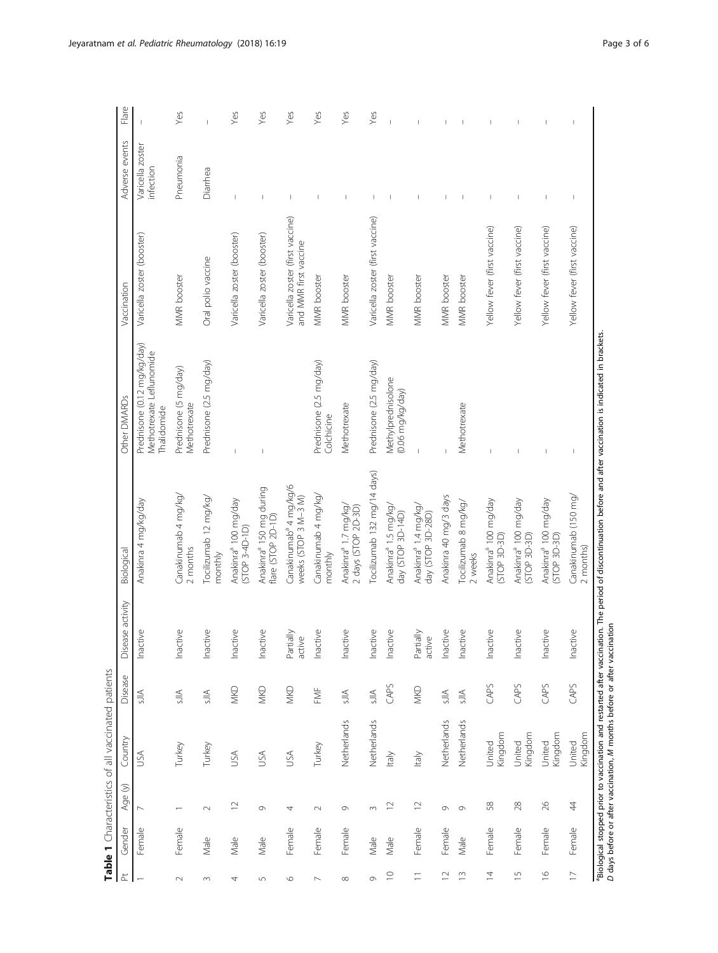<span id="page-2-0"></span>

|                         |        |                | Table 1 Characteristics of all vaccinated patients |            |                                               |                                                              |                                                                        |                                                           |                               |                          |
|-------------------------|--------|----------------|----------------------------------------------------|------------|-----------------------------------------------|--------------------------------------------------------------|------------------------------------------------------------------------|-----------------------------------------------------------|-------------------------------|--------------------------|
| $\tilde{\Delta}$        | Gender | Age (y)        | Country                                            | Disease    | ase activity<br>Disea                         | Biological                                                   | Other DMARDs                                                           | Vaccination                                               | Adverse events                | Flare                    |
|                         | Female |                | USA                                                | SJIA       | Inactive                                      | Anakinra 4 mg/kg/day                                         | Prednisone (0.12 mg/kg/day)<br>Methotrexate Leflunomide<br>Thalidomide | Varicella zoster (booster)                                | Varicella zoster<br>infection |                          |
| $\sim$                  | Female |                | Turkey                                             | SJIA       | Inactive                                      | Canakinumab 4 mg/kg/<br>2 months                             | Prednisone (5 mg/day)<br>Vethotrexate                                  | MMR booster                                               | Pneumonia                     | Yes                      |
| $\sim$                  | Male   | $\sim$         | Turkey                                             | $5$ JIA    | Inactive                                      | Tocilizumab 12 mg/kg/<br>monthly                             | Prednisone (2.5 mg/day)                                                | Oral polio vaccine                                        | Diarrhea                      | $\overline{1}$           |
| 4                       | Male   | $\supseteq$    | USA                                                | <b>SKO</b> | Inactive                                      | Anakinra <sup>a</sup> 100 mg/day<br>$(STOP 3-4D-1D)$         |                                                                        | Varicella zoster (booster)                                |                               | Yes                      |
| $\overline{\mathsf{S}}$ | Male   | $\sigma$       | USA                                                | <b>SKW</b> | Inactive                                      | Anakinra <sup>a</sup> 150 mg during<br>flare (STOP 2D-1D)    |                                                                        | Varicella zoster (booster)                                |                               | Yes                      |
| $\circ$                 | Female | 4              | USA                                                | <b>NIN</b> | $\stackrel{\geq}{\equiv}$<br>active<br>Partia | Canakinumab <sup>a</sup> 4 mg/kg/6<br>weeks (STOP 3 M-3 M)   |                                                                        | Varicella zoster (first vaccine)<br>and MMR first vaccine | $\mathbb{I}$                  | Yes                      |
| $\overline{ }$          | Female | $\sim$         | Turkey                                             | FMF        | Inactive                                      | Canakinumab 4 mg/kg/<br>monthly                              | Prednisone (2.5 mg/day)<br>Colchicine                                  | MMR booster                                               |                               | Yes                      |
| $\infty$                | Female | G              | Netherlands                                        | 511A       | Inactive                                      | Anakinra <sup>a</sup> 1.7 mg/kg/<br>$2$ days (STOP $2D-3D$ ) | Methotrexate                                                           | MMR booster                                               |                               | Yes                      |
| $\circ$                 | Male   | $\sim$         | Netherlands                                        | $5$ JIA    | Inactive                                      | Tocilizumab 132 mg/14 days)                                  | Prednisone (2.5 mg/day)                                                | Varicella zoster (first vaccine)                          |                               | Yes                      |
| $\supseteq$             | Male   | $\supseteq$    | kaly                                               | CAPS       | Inactive                                      | Anakinra <sup>a</sup> 1.5 mg/kg/<br>day (STOP 3D-14D)        | Methylprednisolone<br>$(0.06 \text{ mg/kg/day})$                       | MMR booster                                               |                               |                          |
| $\overline{-}$          | Female | $\supseteq$    | kaly                                               | M          | Partially<br>active                           | Anakinra <sup>a</sup> 1.4 mg/kg/<br>day (STOP 3D-28D)        |                                                                        | MMR booster                                               |                               |                          |
| $\approx$               | Female | $\circ$        | Netherlands                                        | $5$ JIA    | Inactive                                      | Anakinra 40 mg/3 days                                        |                                                                        | MMR booster                                               |                               |                          |
| $\frac{1}{2}$           | Male   | $\circ$        | Netherlands                                        | 511A       | Inactive                                      | Tocilizumab 8 mg/kg/<br>2 weeks                              | Methotrexate                                                           | MMR booster                                               |                               |                          |
| $\overline{4}$          | Female | 58             | Kingdom<br>United                                  | CAPS       | Inactive                                      | Anakinra <sup>a</sup> 100 mg/day<br>$(TOP 3D-3D)$            |                                                                        | Yellow fever (first vaccine)                              |                               |                          |
| $\overline{1}$          | Female | 28             | Kingdom<br>United                                  | CAPS       | Inactive                                      | Anakinra <sup>a</sup> 100 mg/day<br>(STOP 3D-3D)             | $\overline{\phantom{a}}$                                               | Yellow fever (first vaccine)                              | $\overline{\phantom{a}}$      | $\overline{\phantom{a}}$ |
| $\overset{\circ}{=}$    | Female | 26             | Kingdom<br>United                                  | CAPS       | Inactive                                      | Anakinra <sup>a</sup> 100 mg/day<br>$STOP 3D-3D$             | $\overline{\phantom{a}}$                                               | Yellow fever (first vaccine)                              | $\overline{\phantom{a}}$      | $\overline{\phantom{a}}$ |
| $\Box$                  | Female | $\overline{4}$ | Kingdom<br>United                                  | CAPS       | Inactive                                      | Canakinumab (150 mg/<br>2 months)                            |                                                                        | Yellow fever (first vaccine)                              |                               |                          |
| مامنه                   |        |                |                                                    |            | É                                             |                                                              |                                                                        |                                                           |                               |                          |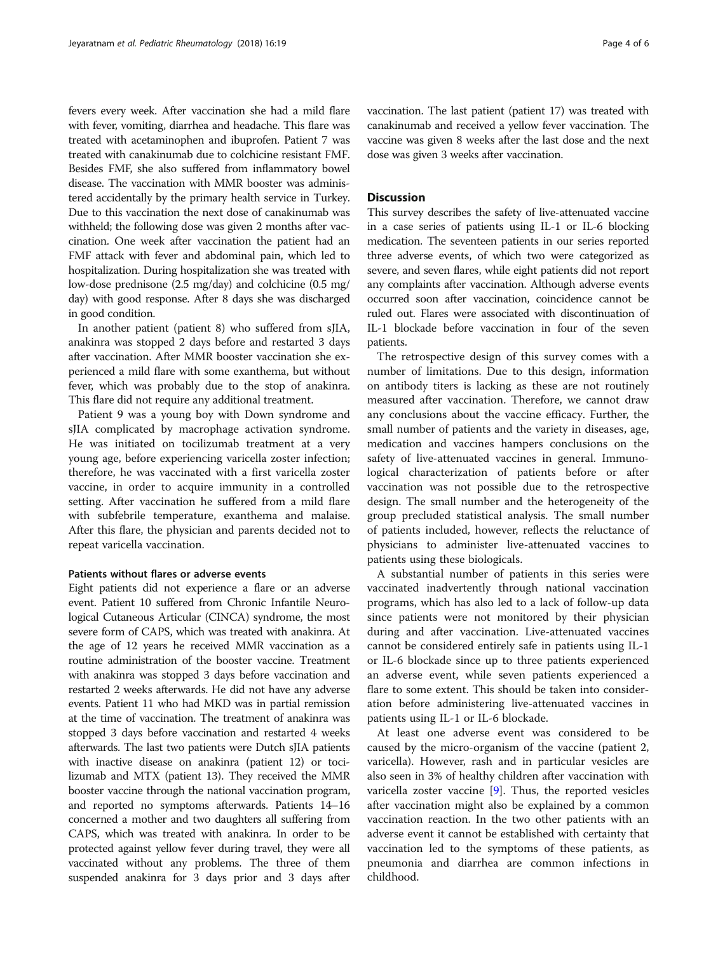fevers every week. After vaccination she had a mild flare with fever, vomiting, diarrhea and headache. This flare was treated with acetaminophen and ibuprofen. Patient 7 was treated with canakinumab due to colchicine resistant FMF. Besides FMF, she also suffered from inflammatory bowel disease. The vaccination with MMR booster was administered accidentally by the primary health service in Turkey. Due to this vaccination the next dose of canakinumab was withheld; the following dose was given 2 months after vaccination. One week after vaccination the patient had an FMF attack with fever and abdominal pain, which led to hospitalization. During hospitalization she was treated with low-dose prednisone (2.5 mg/day) and colchicine (0.5 mg/ day) with good response. After 8 days she was discharged in good condition.

In another patient (patient 8) who suffered from sJIA, anakinra was stopped 2 days before and restarted 3 days after vaccination. After MMR booster vaccination she experienced a mild flare with some exanthema, but without fever, which was probably due to the stop of anakinra. This flare did not require any additional treatment.

Patient 9 was a young boy with Down syndrome and sJIA complicated by macrophage activation syndrome. He was initiated on tocilizumab treatment at a very young age, before experiencing varicella zoster infection; therefore, he was vaccinated with a first varicella zoster vaccine, in order to acquire immunity in a controlled setting. After vaccination he suffered from a mild flare with subfebrile temperature, exanthema and malaise. After this flare, the physician and parents decided not to repeat varicella vaccination.

## Patients without flares or adverse events

Eight patients did not experience a flare or an adverse event. Patient 10 suffered from Chronic Infantile Neurological Cutaneous Articular (CINCA) syndrome, the most severe form of CAPS, which was treated with anakinra. At the age of 12 years he received MMR vaccination as a routine administration of the booster vaccine. Treatment with anakinra was stopped 3 days before vaccination and restarted 2 weeks afterwards. He did not have any adverse events. Patient 11 who had MKD was in partial remission at the time of vaccination. The treatment of anakinra was stopped 3 days before vaccination and restarted 4 weeks afterwards. The last two patients were Dutch sJIA patients with inactive disease on anakinra (patient 12) or tocilizumab and MTX (patient 13). They received the MMR booster vaccine through the national vaccination program, and reported no symptoms afterwards. Patients 14–16 concerned a mother and two daughters all suffering from CAPS, which was treated with anakinra. In order to be protected against yellow fever during travel, they were all vaccinated without any problems. The three of them suspended anakinra for 3 days prior and 3 days after vaccination. The last patient (patient 17) was treated with canakinumab and received a yellow fever vaccination. The vaccine was given 8 weeks after the last dose and the next dose was given 3 weeks after vaccination.

## **Discussion**

This survey describes the safety of live-attenuated vaccine in a case series of patients using IL-1 or IL-6 blocking medication. The seventeen patients in our series reported three adverse events, of which two were categorized as severe, and seven flares, while eight patients did not report any complaints after vaccination. Although adverse events occurred soon after vaccination, coincidence cannot be ruled out. Flares were associated with discontinuation of IL-1 blockade before vaccination in four of the seven patients.

The retrospective design of this survey comes with a number of limitations. Due to this design, information on antibody titers is lacking as these are not routinely measured after vaccination. Therefore, we cannot draw any conclusions about the vaccine efficacy. Further, the small number of patients and the variety in diseases, age, medication and vaccines hampers conclusions on the safety of live-attenuated vaccines in general. Immunological characterization of patients before or after vaccination was not possible due to the retrospective design. The small number and the heterogeneity of the group precluded statistical analysis. The small number of patients included, however, reflects the reluctance of physicians to administer live-attenuated vaccines to patients using these biologicals.

A substantial number of patients in this series were vaccinated inadvertently through national vaccination programs, which has also led to a lack of follow-up data since patients were not monitored by their physician during and after vaccination. Live-attenuated vaccines cannot be considered entirely safe in patients using IL-1 or IL-6 blockade since up to three patients experienced an adverse event, while seven patients experienced a flare to some extent. This should be taken into consideration before administering live-attenuated vaccines in patients using IL-1 or IL-6 blockade.

At least one adverse event was considered to be caused by the micro-organism of the vaccine (patient 2, varicella). However, rash and in particular vesicles are also seen in 3% of healthy children after vaccination with varicella zoster vaccine [\[9](#page-4-0)]. Thus, the reported vesicles after vaccination might also be explained by a common vaccination reaction. In the two other patients with an adverse event it cannot be established with certainty that vaccination led to the symptoms of these patients, as pneumonia and diarrhea are common infections in childhood.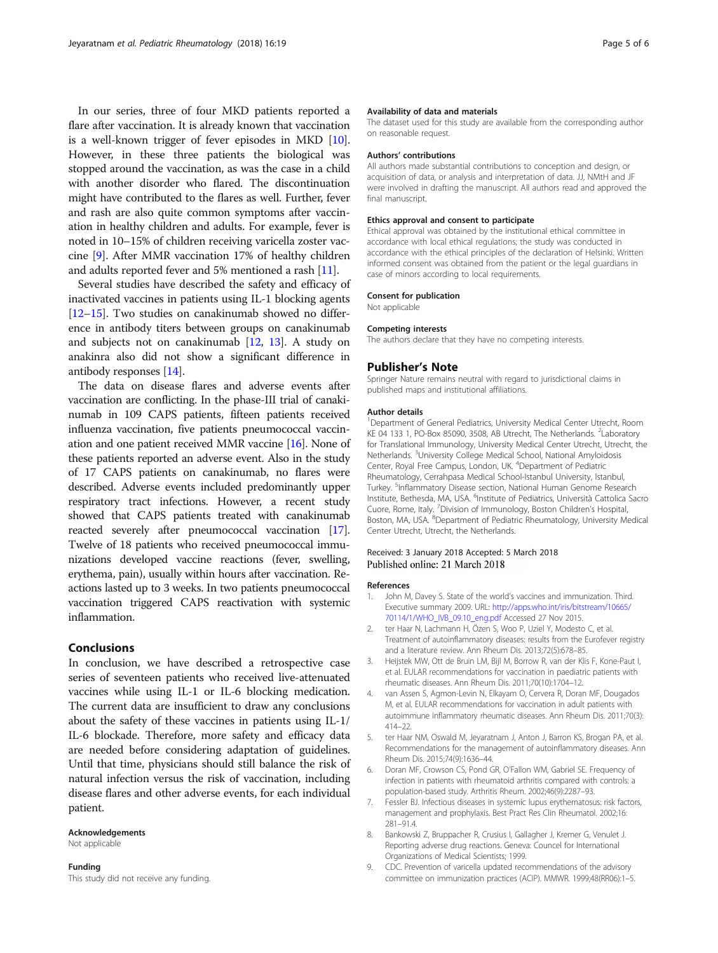<span id="page-4-0"></span>In our series, three of four MKD patients reported a flare after vaccination. It is already known that vaccination is a well-known trigger of fever episodes in MKD [[10](#page-5-0)]. However, in these three patients the biological was stopped around the vaccination, as was the case in a child with another disorder who flared. The discontinuation might have contributed to the flares as well. Further, fever and rash are also quite common symptoms after vaccination in healthy children and adults. For example, fever is noted in 10–15% of children receiving varicella zoster vaccine [9]. After MMR vaccination 17% of healthy children and adults reported fever and 5% mentioned a rash [[11](#page-5-0)].

Several studies have described the safety and efficacy of inactivated vaccines in patients using IL-1 blocking agents [[12](#page-5-0)–[15\]](#page-5-0). Two studies on canakinumab showed no difference in antibody titers between groups on canakinumab and subjects not on canakinumab [[12](#page-5-0), [13\]](#page-5-0). A study on anakinra also did not show a significant difference in antibody responses [[14](#page-5-0)].

The data on disease flares and adverse events after vaccination are conflicting. In the phase-III trial of canakinumab in 109 CAPS patients, fifteen patients received influenza vaccination, five patients pneumococcal vaccination and one patient received MMR vaccine [[16](#page-5-0)]. None of these patients reported an adverse event. Also in the study of 17 CAPS patients on canakinumab, no flares were described. Adverse events included predominantly upper respiratory tract infections. However, a recent study showed that CAPS patients treated with canakinumab reacted severely after pneumococcal vaccination [\[17](#page-5-0)]. Twelve of 18 patients who received pneumococcal immunizations developed vaccine reactions (fever, swelling, erythema, pain), usually within hours after vaccination. Reactions lasted up to 3 weeks. In two patients pneumococcal vaccination triggered CAPS reactivation with systemic inflammation.

## Conclusions

In conclusion, we have described a retrospective case series of seventeen patients who received live-attenuated vaccines while using IL-1 or IL-6 blocking medication. The current data are insufficient to draw any conclusions about the safety of these vaccines in patients using IL-1/ IL-6 blockade. Therefore, more safety and efficacy data are needed before considering adaptation of guidelines. Until that time, physicians should still balance the risk of natural infection versus the risk of vaccination, including disease flares and other adverse events, for each individual patient.

## Acknowledgements

Not applicable

#### Funding

This study did not receive any funding.

#### Availability of data and materials

The dataset used for this study are available from the corresponding author on reasonable request.

#### Authors' contributions

All authors made substantial contributions to conception and design, or acquisition of data, or analysis and interpretation of data. JJ, NMtH and JF were involved in drafting the manuscript. All authors read and approved the final manuscript.

#### Ethics approval and consent to participate

Ethical approval was obtained by the institutional ethical committee in accordance with local ethical regulations; the study was conducted in accordance with the ethical principles of the declaration of Helsinki. Written informed consent was obtained from the patient or the legal guardians in case of minors according to local requirements.

#### Consent for publication

Not applicable

#### Competing interests

The authors declare that they have no competing interests.

#### Publisher's Note

Springer Nature remains neutral with regard to jurisdictional claims in published maps and institutional affiliations.

#### Author details

<sup>1</sup>Department of General Pediatrics, University Medical Center Utrecht, Room KE 04 133 1, PO-Box 85090, 3508, AB Utrecht, The Netherlands. <sup>2</sup>Laboratory for Translational Immunology, University Medical Center Utrecht, Utrecht, the Netherlands. <sup>3</sup>University College Medical School, National Amyloidosis Center, Royal Free Campus, London, UK. <sup>4</sup> Department of Pediatric Rheumatology, Cerrahpasa Medical School-Istanbul University, Istanbul, Turkey. <sup>5</sup>Inflammatory Disease section, National Human Genome Research Institute, Bethesda, MA, USA. <sup>6</sup>Institute of Pediatrics, Università Cattolica Sacro Cuore, Rome, Italy. <sup>7</sup> Division of Immunology, Boston Children's Hospital Boston, MA, USA. <sup>8</sup>Department of Pediatric Rheumatology, University Medical Center Utrecht, Utrecht, the Netherlands.

## Received: 3 January 2018 Accepted: 5 March 2018 Published online: 21 March 2018

#### References

- John M, Davey S. State of the world's vaccines and immunization. Third. Executive summary 2009. URL: [http://apps.who.int/iris/bitstream/10665/](http://apps.who.int/iris/bitstream/10665/70114/1/WHO_IVB_09.10_eng.pdf) [70114/1/WHO\\_IVB\\_09.10\\_eng.pdf](http://apps.who.int/iris/bitstream/10665/70114/1/WHO_IVB_09.10_eng.pdf) Accessed 27 Nov 2015.
- 2. ter Haar N, Lachmann H, Özen S, Woo P, Uziel Y, Modesto C, et al. Treatment of autoinflammatory diseases: results from the Eurofever registry and a literature review. Ann Rheum Dis. 2013;72(5):678–85.
- 3. Heijstek MW, Ott de Bruin LM, Bijl M, Borrow R, van der Klis F, Kone-Paut I, et al. EULAR recommendations for vaccination in paediatric patients with rheumatic diseases. Ann Rheum Dis. 2011;70(10):1704–12.
- 4. van Assen S, Agmon-Levin N, Elkayam O, Cervera R, Doran MF, Dougados M, et al. EULAR recommendations for vaccination in adult patients with autoimmune inflammatory rheumatic diseases. Ann Rheum Dis. 2011;70(3): 414–22.
- 5. ter Haar NM, Oswald M, Jeyaratnam J, Anton J, Barron KS, Brogan PA, et al. Recommendations for the management of autoinflammatory diseases. Ann Rheum Dis. 2015;74(9):1636–44.
- 6. Doran MF, Crowson CS, Pond GR, O'Fallon WM, Gabriel SE. Frequency of infection in patients with rheumatoid arthritis compared with controls: a population-based study. Arthritis Rheum. 2002;46(9):2287–93.
- 7. Fessler BJ. Infectious diseases in systemic lupus erythematosus: risk factors, management and prophylaxis. Best Pract Res Clin Rheumatol. 2002;16: 281–91.4.
- 8. Bankowski Z, Bruppacher R, Crusius I, Gallagher J, Kremer G, Venulet J. Reporting adverse drug reactions. Geneva: Councel for International Organizations of Medical Scientists; 1999.
- 9. CDC. Prevention of varicella updated recommendations of the advisory committee on immunization practices (ACIP). MMWR. 1999;48(RR06):1–5.